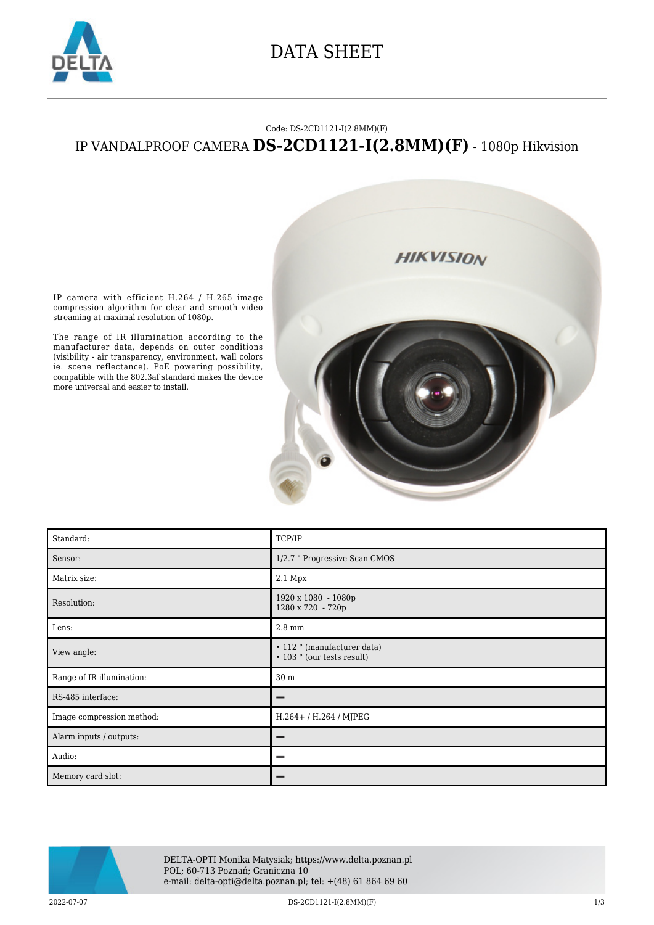

### DATA SHEET

#### Code: DS-2CD1121-I(2.8MM)(F)

### IP VANDALPROOF CAMERA **DS-2CD1121-I(2.8MM)(F)** - 1080p Hikvision



IP camera with efficient H.264 / H.265 image compression algorithm for clear and smooth video streaming at maximal resolution of 1080p.

The range of IR illumination according to the manufacturer data, depends on outer conditions (visibility - air transparency, environment, wall colors ie. scene reflectance). PoE powering possibility, compatible with the 802.3af standard makes the device more universal and easier to install.

| Standard:                 | TCP/IP                                                    |
|---------------------------|-----------------------------------------------------------|
| Sensor:                   | 1/2.7 " Progressive Scan CMOS                             |
| Matrix size:              | 2.1 Mpx                                                   |
| Resolution:               | 1920 x 1080 - 1080p<br>1280 x 720 - 720p                  |
| Lens:                     | $2.8 \text{ mm}$                                          |
| View angle:               | • 112 ° (manufacturer data)<br>• 103 ° (our tests result) |
| Range of IR illumination: | 30 m                                                      |
| RS-485 interface:         | -                                                         |
| Image compression method: | H.264+/H.264/MJPEG                                        |
| Alarm inputs / outputs:   |                                                           |
| Audio:                    | -                                                         |
| Memory card slot:         |                                                           |

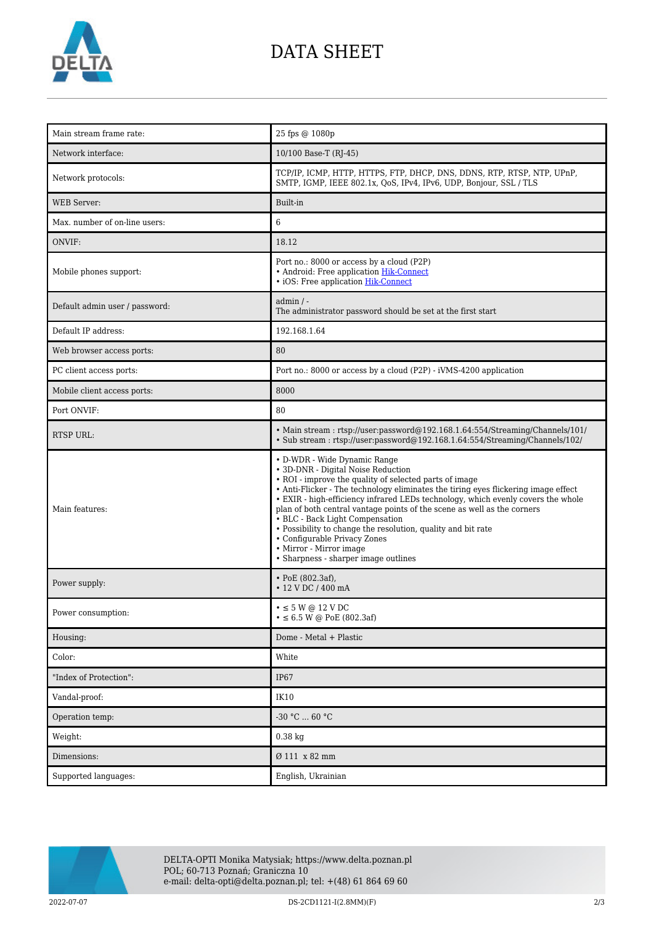

# DATA SHEET

| Main stream frame rate:        | 25 fps @ 1080p                                                                                                                                                                                                                                                                                                                                                                                                                                                                                                                                                                          |
|--------------------------------|-----------------------------------------------------------------------------------------------------------------------------------------------------------------------------------------------------------------------------------------------------------------------------------------------------------------------------------------------------------------------------------------------------------------------------------------------------------------------------------------------------------------------------------------------------------------------------------------|
| Network interface:             | 10/100 Base-T (RJ-45)                                                                                                                                                                                                                                                                                                                                                                                                                                                                                                                                                                   |
| Network protocols:             | TCP/IP, ICMP, HTTP, HTTPS, FTP, DHCP, DNS, DDNS, RTP, RTSP, NTP, UPnP,<br>SMTP, IGMP, IEEE 802.1x, QoS, IPv4, IPv6, UDP, Bonjour, SSL / TLS                                                                                                                                                                                                                                                                                                                                                                                                                                             |
| <b>WEB</b> Server:             | Built-in                                                                                                                                                                                                                                                                                                                                                                                                                                                                                                                                                                                |
| Max. number of on-line users:  | 6                                                                                                                                                                                                                                                                                                                                                                                                                                                                                                                                                                                       |
| ONVIF:                         | 18.12                                                                                                                                                                                                                                                                                                                                                                                                                                                                                                                                                                                   |
| Mobile phones support:         | Port no.: 8000 or access by a cloud (P2P)<br>• Android: Free application Hik-Connect<br>• iOS: Free application Hik-Connect                                                                                                                                                                                                                                                                                                                                                                                                                                                             |
| Default admin user / password: | $admin / -$<br>The administrator password should be set at the first start                                                                                                                                                                                                                                                                                                                                                                                                                                                                                                              |
| Default IP address:            | 192.168.1.64                                                                                                                                                                                                                                                                                                                                                                                                                                                                                                                                                                            |
| Web browser access ports:      | 80                                                                                                                                                                                                                                                                                                                                                                                                                                                                                                                                                                                      |
| PC client access ports:        | Port no.: 8000 or access by a cloud (P2P) - iVMS-4200 application                                                                                                                                                                                                                                                                                                                                                                                                                                                                                                                       |
| Mobile client access ports:    | 8000                                                                                                                                                                                                                                                                                                                                                                                                                                                                                                                                                                                    |
| Port ONVIF:                    | 80                                                                                                                                                                                                                                                                                                                                                                                                                                                                                                                                                                                      |
| <b>RTSP URL:</b>               | • Main stream: rtsp://user:password@192.168.1.64:554/Streaming/Channels/101/<br>• Sub stream: rtsp://user.password@192.168.1.64.554/Streaming/Channels/102/                                                                                                                                                                                                                                                                                                                                                                                                                             |
| Main features:                 | • D-WDR - Wide Dynamic Range<br>• 3D-DNR - Digital Noise Reduction<br>• ROI - improve the quality of selected parts of image<br>• Anti-Flicker - The technology eliminates the tiring eyes flickering image effect<br>• EXIR - high-efficiency infrared LEDs technology, which evenly covers the whole<br>plan of both central vantage points of the scene as well as the corners<br>• BLC - Back Light Compensation<br>• Possibility to change the resolution, quality and bit rate<br>• Configurable Privacy Zones<br>• Mirror - Mirror image<br>• Sharpness - sharper image outlines |
| Power supply:                  | • PoE $(802.3af)$ ,<br>$\cdot$ 12 V DC / 400 mA                                                                                                                                                                                                                                                                                                                                                                                                                                                                                                                                         |
| Power consumption:             | $\bullet \leq 5$ W @ 12 V DC<br>$\bullet \leq 6.5$ W @ PoE (802.3af)                                                                                                                                                                                                                                                                                                                                                                                                                                                                                                                    |
| Housing:                       | Dome - Metal + Plastic                                                                                                                                                                                                                                                                                                                                                                                                                                                                                                                                                                  |
| Color:                         | White                                                                                                                                                                                                                                                                                                                                                                                                                                                                                                                                                                                   |
| "Index of Protection":         | <b>IP67</b>                                                                                                                                                                                                                                                                                                                                                                                                                                                                                                                                                                             |
| Vandal-proof:                  | <b>IK10</b>                                                                                                                                                                                                                                                                                                                                                                                                                                                                                                                                                                             |
| Operation temp:                | -30 °C  60 °C                                                                                                                                                                                                                                                                                                                                                                                                                                                                                                                                                                           |
| Weight:                        | $0.38$ kg                                                                                                                                                                                                                                                                                                                                                                                                                                                                                                                                                                               |
| Dimensions:                    | Ø 111 x 82 mm                                                                                                                                                                                                                                                                                                                                                                                                                                                                                                                                                                           |
| Supported languages:           | English, Ukrainian                                                                                                                                                                                                                                                                                                                                                                                                                                                                                                                                                                      |